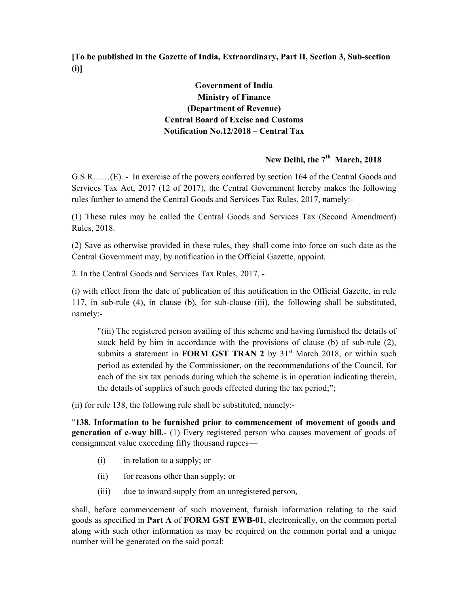[To be published in the Gazette of India, Extraordinary, Part II, Section 3, Sub-section (i)]

## Government of India Ministry of Finance (Department of Revenue) Central Board of Excise and Customs Notification No.12/2018 – Central Tax

# New Delhi, the 7<sup>th</sup> March, 2018

G.S.R……(E). - In exercise of the powers conferred by section 164 of the Central Goods and Services Tax Act, 2017 (12 of 2017), the Central Government hereby makes the following rules further to amend the Central Goods and Services Tax Rules, 2017, namely:-

(1) These rules may be called the Central Goods and Services Tax (Second Amendment) Rules, 2018.

(2) Save as otherwise provided in these rules, they shall come into force on such date as the Central Government may, by notification in the Official Gazette, appoint.

2. In the Central Goods and Services Tax Rules, 2017, -

(i) with effect from the date of publication of this notification in the Official Gazette, in rule 117, in sub-rule (4), in clause (b), for sub-clause (iii), the following shall be substituted, namely:-

"(iii) The registered person availing of this scheme and having furnished the details of stock held by him in accordance with the provisions of clause (b) of sub-rule (2), submits a statement in FORM GST TRAN 2 by  $31<sup>st</sup>$  March 2018, or within such period as extended by the Commissioner, on the recommendations of the Council, for each of the six tax periods during which the scheme is in operation indicating therein, the details of supplies of such goods effected during the tax period;";

(ii) for rule 138, the following rule shall be substituted, namely:-

"138. Information to be furnished prior to commencement of movement of goods and generation of e-way bill.- (1) Every registered person who causes movement of goods of consignment value exceeding fifty thousand rupees—

- (i) in relation to a supply; or
- (ii) for reasons other than supply; or
- (iii) due to inward supply from an unregistered person,

shall, before commencement of such movement, furnish information relating to the said goods as specified in Part A of FORM GST EWB-01, electronically, on the common portal along with such other information as may be required on the common portal and a unique number will be generated on the said portal: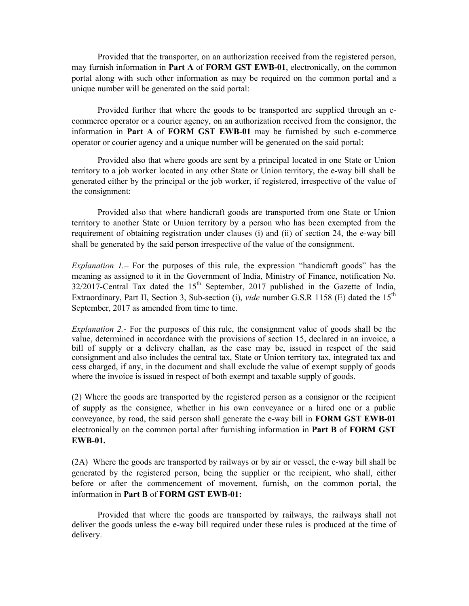Provided that the transporter, on an authorization received from the registered person, may furnish information in Part A of FORM GST EWB-01, electronically, on the common portal along with such other information as may be required on the common portal and a unique number will be generated on the said portal:

Provided further that where the goods to be transported are supplied through an ecommerce operator or a courier agency, on an authorization received from the consignor, the information in Part A of FORM GST EWB-01 may be furnished by such e-commerce operator or courier agency and a unique number will be generated on the said portal:

Provided also that where goods are sent by a principal located in one State or Union territory to a job worker located in any other State or Union territory, the e-way bill shall be generated either by the principal or the job worker, if registered, irrespective of the value of the consignment:

Provided also that where handicraft goods are transported from one State or Union territory to another State or Union territory by a person who has been exempted from the requirement of obtaining registration under clauses (i) and (ii) of section 24, the e-way bill shall be generated by the said person irrespective of the value of the consignment.

Explanation  $1$  – For the purposes of this rule, the expression "handicraft goods" has the meaning as assigned to it in the Government of India, Ministry of Finance, notification No.  $32/2017$ -Central Tax dated the  $15<sup>th</sup>$  September, 2017 published in the Gazette of India, Extraordinary, Part II, Section 3, Sub-section (i), *vide* number G.S.R 1158 (E) dated the 15<sup>th</sup> September, 2017 as amended from time to time.

Explanation 2.- For the purposes of this rule, the consignment value of goods shall be the value, determined in accordance with the provisions of section 15, declared in an invoice, a bill of supply or a delivery challan, as the case may be, issued in respect of the said consignment and also includes the central tax, State or Union territory tax, integrated tax and cess charged, if any, in the document and shall exclude the value of exempt supply of goods where the invoice is issued in respect of both exempt and taxable supply of goods.

(2) Where the goods are transported by the registered person as a consignor or the recipient of supply as the consignee, whether in his own conveyance or a hired one or a public conveyance, by road, the said person shall generate the e-way bill in FORM GST EWB-01 electronically on the common portal after furnishing information in Part B of FORM GST EWB-01.

(2A) Where the goods are transported by railways or by air or vessel, the e-way bill shall be generated by the registered person, being the supplier or the recipient, who shall, either before or after the commencement of movement, furnish, on the common portal, the information in Part B of FORM GST EWB-01:

Provided that where the goods are transported by railways, the railways shall not deliver the goods unless the e-way bill required under these rules is produced at the time of delivery.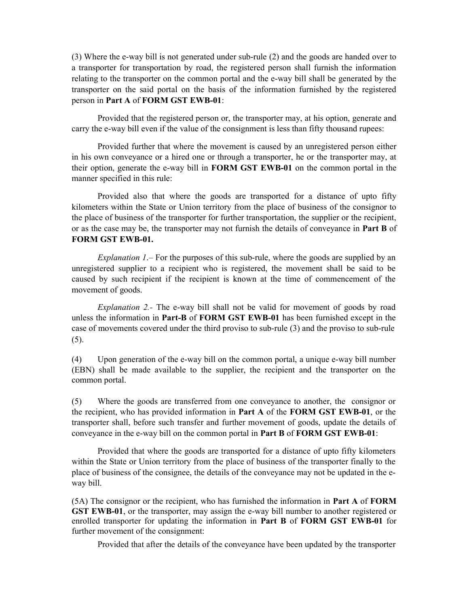(3) Where the e-way bill is not generated under sub-rule (2) and the goods are handed over to a transporter for transportation by road, the registered person shall furnish the information relating to the transporter on the common portal and the e-way bill shall be generated by the transporter on the said portal on the basis of the information furnished by the registered person in Part A of FORM GST EWB-01:

Provided that the registered person or, the transporter may, at his option, generate and carry the e-way bill even if the value of the consignment is less than fifty thousand rupees:

Provided further that where the movement is caused by an unregistered person either in his own conveyance or a hired one or through a transporter, he or the transporter may, at their option, generate the e-way bill in FORM GST EWB-01 on the common portal in the manner specified in this rule:

Provided also that where the goods are transported for a distance of upto fifty kilometers within the State or Union territory from the place of business of the consignor to the place of business of the transporter for further transportation, the supplier or the recipient, or as the case may be, the transporter may not furnish the details of conveyance in **Part B** of FORM GST EWB-01.

Explanation 1.– For the purposes of this sub-rule, where the goods are supplied by an unregistered supplier to a recipient who is registered, the movement shall be said to be caused by such recipient if the recipient is known at the time of commencement of the movement of goods.

Explanation 2.- The e-way bill shall not be valid for movement of goods by road unless the information in Part-B of FORM GST EWB-01 has been furnished except in the case of movements covered under the third proviso to sub-rule (3) and the proviso to sub-rule (5).

(4) Upon generation of the e-way bill on the common portal, a unique e-way bill number (EBN) shall be made available to the supplier, the recipient and the transporter on the common portal.

(5) Where the goods are transferred from one conveyance to another, the consignor or the recipient, who has provided information in Part A of the FORM GST EWB-01, or the transporter shall, before such transfer and further movement of goods, update the details of conveyance in the e-way bill on the common portal in Part B of FORM GST EWB-01:

Provided that where the goods are transported for a distance of upto fifty kilometers within the State or Union territory from the place of business of the transporter finally to the place of business of the consignee, the details of the conveyance may not be updated in the eway bill.

(5A) The consignor or the recipient, who has furnished the information in Part A of FORM GST EWB-01, or the transporter, may assign the e-way bill number to another registered or enrolled transporter for updating the information in Part B of FORM GST EWB-01 for further movement of the consignment:

Provided that after the details of the conveyance have been updated by the transporter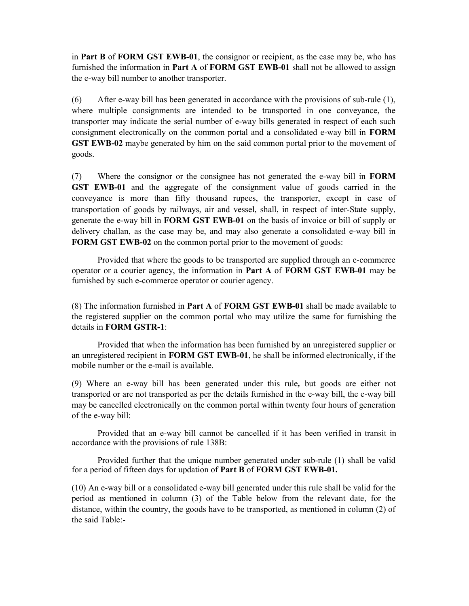in Part B of FORM GST EWB-01, the consignor or recipient, as the case may be, who has furnished the information in Part A of FORM GST EWB-01 shall not be allowed to assign the e-way bill number to another transporter.

(6) After e-way bill has been generated in accordance with the provisions of sub-rule (1), where multiple consignments are intended to be transported in one conveyance, the transporter may indicate the serial number of e-way bills generated in respect of each such consignment electronically on the common portal and a consolidated e-way bill in FORM GST EWB-02 maybe generated by him on the said common portal prior to the movement of goods.

(7) Where the consignor or the consignee has not generated the e-way bill in FORM GST EWB-01 and the aggregate of the consignment value of goods carried in the conveyance is more than fifty thousand rupees, the transporter, except in case of transportation of goods by railways, air and vessel, shall, in respect of inter-State supply, generate the e-way bill in FORM GST EWB-01 on the basis of invoice or bill of supply or delivery challan, as the case may be, and may also generate a consolidated e-way bill in FORM GST EWB-02 on the common portal prior to the movement of goods:

Provided that where the goods to be transported are supplied through an e-commerce operator or a courier agency, the information in **Part A** of **FORM GST EWB-01** may be furnished by such e-commerce operator or courier agency.

(8) The information furnished in Part A of FORM GST EWB-01 shall be made available to the registered supplier on the common portal who may utilize the same for furnishing the details in FORM GSTR-1:

Provided that when the information has been furnished by an unregistered supplier or an unregistered recipient in **FORM GST EWB-01**, he shall be informed electronically, if the mobile number or the e-mail is available.

(9) Where an e-way bill has been generated under this rule, but goods are either not transported or are not transported as per the details furnished in the e-way bill, the e-way bill may be cancelled electronically on the common portal within twenty four hours of generation of the e-way bill:

Provided that an e-way bill cannot be cancelled if it has been verified in transit in accordance with the provisions of rule 138B:

Provided further that the unique number generated under sub-rule (1) shall be valid for a period of fifteen days for updation of **Part B** of **FORM GST EWB-01.** 

(10) An e-way bill or a consolidated e-way bill generated under this rule shall be valid for the period as mentioned in column (3) of the Table below from the relevant date, for the distance, within the country, the goods have to be transported, as mentioned in column (2) of the said Table:-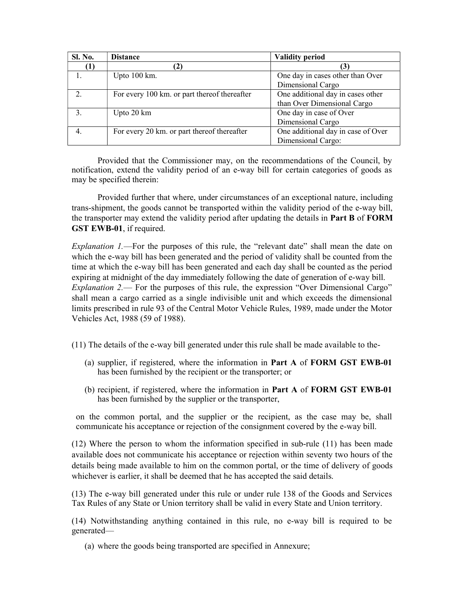| <b>Sl. No.</b> | <b>Distance</b>                              | <b>Validity period</b>             |
|----------------|----------------------------------------------|------------------------------------|
| (1)            |                                              |                                    |
| ı.             | Upto $100 \text{ km}$ .                      | One day in cases other than Over   |
|                |                                              | Dimensional Cargo                  |
| 2.             | For every 100 km. or part thereof thereafter | One additional day in cases other  |
|                |                                              | than Over Dimensional Cargo        |
|                | Upto 20 km                                   | One day in case of Over            |
|                |                                              | Dimensional Cargo                  |
| 4.             | For every 20 km. or part thereof thereafter  | One additional day in case of Over |
|                |                                              | Dimensional Cargo:                 |

Provided that the Commissioner may, on the recommendations of the Council, by notification, extend the validity period of an e-way bill for certain categories of goods as may be specified therein:

Provided further that where, under circumstances of an exceptional nature, including trans-shipment, the goods cannot be transported within the validity period of the e-way bill, the transporter may extend the validity period after updating the details in **Part B** of **FORM** GST EWB-01, if required.

Explanation 1.—For the purposes of this rule, the "relevant date" shall mean the date on which the e-way bill has been generated and the period of validity shall be counted from the time at which the e-way bill has been generated and each day shall be counted as the period expiring at midnight of the day immediately following the date of generation of e-way bill. Explanation 2.— For the purposes of this rule, the expression "Over Dimensional Cargo" shall mean a cargo carried as a single indivisible unit and which exceeds the dimensional limits prescribed in rule 93 of the Central Motor Vehicle Rules, 1989, made under the Motor Vehicles Act, 1988 (59 of 1988).

(11) The details of the e-way bill generated under this rule shall be made available to the-

- (a) supplier, if registered, where the information in Part A of FORM GST EWB-01 has been furnished by the recipient or the transporter; or
- (b) recipient, if registered, where the information in Part A of FORM GST EWB-01 has been furnished by the supplier or the transporter,

on the common portal, and the supplier or the recipient, as the case may be, shall communicate his acceptance or rejection of the consignment covered by the e-way bill.

(12) Where the person to whom the information specified in sub-rule (11) has been made available does not communicate his acceptance or rejection within seventy two hours of the details being made available to him on the common portal, or the time of delivery of goods whichever is earlier, it shall be deemed that he has accepted the said details.

(13) The e-way bill generated under this rule or under rule 138 of the Goods and Services Tax Rules of any State or Union territory shall be valid in every State and Union territory.

(14) Notwithstanding anything contained in this rule, no e-way bill is required to be generated—

(a) where the goods being transported are specified in Annexure;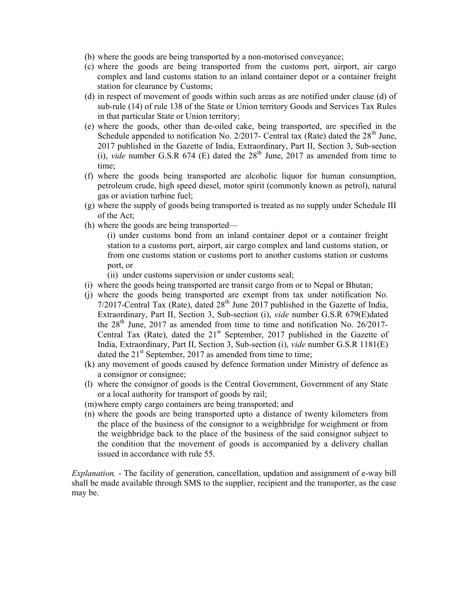- (b) where the goods are being transported by a non-motorised conveyance;
- (c) where the goods are being transported from the customs port, airport, air cargo complex and land customs station to an inland container depot or a container freight station for clearance by Customs;
- (d) in respect of movement of goods within such areas as are notified under clause (d) of sub-rule (14) of rule 138 of the State or Union territory Goods and Services Tax Rules in that particular State or Union territory;
- (e) where the goods, other than de-oiled cake, being transported, are specified in the Schedule appended to notification No. 2/2017- Central tax (Rate) dated the  $28<sup>th</sup>$  June, 2017 published in the Gazette of India, Extraordinary, Part II, Section 3, Sub-section (i), vide number G.S.R 674 (E) dated the  $28<sup>th</sup>$  June, 2017 as amended from time to time;
- (f) where the goods being transported are alcoholic liquor for human consumption, petroleum crude, high speed diesel, motor spirit (commonly known as petrol), natural gas or aviation turbine fuel;
- (g) where the supply of goods being transported is treated as no supply under Schedule III of the Act;
- (h) where the goods are being transported—
	- (i) under customs bond from an inland container depot or a container freight station to a customs port, airport, air cargo complex and land customs station, or from one customs station or customs port to another customs station or customs port, or

(ii) under customs supervision or under customs seal;

- (i) where the goods being transported are transit cargo from or to Nepal or Bhutan;
- (j) where the goods being transported are exempt from tax under notification No. 7/2017-Central Tax (Rate), dated  $28<sup>th</sup>$  June 2017 published in the Gazette of India, Extraordinary, Part II, Section 3, Sub-section (i), vide number G.S.R 679(E)dated the  $28<sup>th</sup>$  June, 2017 as amended from time to time and notification No. 26/2017-Central Tax (Rate), dated the  $21<sup>st</sup>$  September, 2017 published in the Gazette of India, Extraordinary, Part II, Section 3, Sub-section (i), vide number G.S.R 1181(E) dated the  $21^{st}$  September, 2017 as amended from time to time;
- (k) any movement of goods caused by defence formation under Ministry of defence as a consignor or consignee;
- (l) where the consignor of goods is the Central Government, Government of any State or a local authority for transport of goods by rail;
- (m)where empty cargo containers are being transported; and
- (n) where the goods are being transported upto a distance of twenty kilometers from the place of the business of the consignor to a weighbridge for weighment or from the weighbridge back to the place of the business of the said consignor subject to the condition that the movement of goods is accompanied by a delivery challan issued in accordance with rule 55.

Explanation. - The facility of generation, cancellation, updation and assignment of e-way bill shall be made available through SMS to the supplier, recipient and the transporter, as the case may be.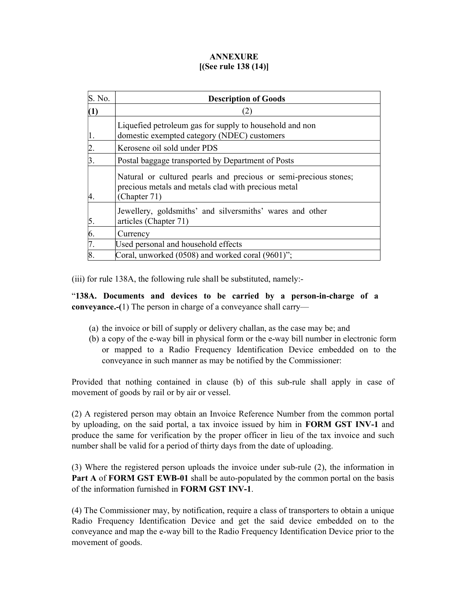## ANNEXURE [(See rule 138 (14)]

| S. No.   | <b>Description of Goods</b>                                                                                                             |
|----------|-----------------------------------------------------------------------------------------------------------------------------------------|
| $\bf(1)$ |                                                                                                                                         |
|          | Liquefied petroleum gas for supply to household and non<br>domestic exempted category (NDEC) customers                                  |
|          | Kerosene oil sold under PDS                                                                                                             |
| 3.       | Postal baggage transported by Department of Posts                                                                                       |
|          | Natural or cultured pearls and precious or semi-precious stones;<br>precious metals and metals clad with precious metal<br>(Chapter 71) |
| 5.       | Jewellery, goldsmiths' and silversmiths' wares and other<br>articles (Chapter 71)                                                       |
| 6.       | Currency                                                                                                                                |
| 7.       | Used personal and household effects                                                                                                     |
|          | Coral, unworked (0508) and worked coral (9601)";                                                                                        |

(iii) for rule 138A, the following rule shall be substituted, namely:-

"138A. Documents and devices to be carried by a person-in-charge of a conveyance.-(1) The person in charge of a conveyance shall carry—

- (a) the invoice or bill of supply or delivery challan, as the case may be; and
- (b) a copy of the e-way bill in physical form or the e-way bill number in electronic form or mapped to a Radio Frequency Identification Device embedded on to the conveyance in such manner as may be notified by the Commissioner:

Provided that nothing contained in clause (b) of this sub-rule shall apply in case of movement of goods by rail or by air or vessel.

(2) A registered person may obtain an Invoice Reference Number from the common portal by uploading, on the said portal, a tax invoice issued by him in FORM GST INV-1 and produce the same for verification by the proper officer in lieu of the tax invoice and such number shall be valid for a period of thirty days from the date of uploading.

(3) Where the registered person uploads the invoice under sub-rule (2), the information in Part A of FORM GST EWB-01 shall be auto-populated by the common portal on the basis of the information furnished in FORM GST INV-1.

(4) The Commissioner may, by notification, require a class of transporters to obtain a unique Radio Frequency Identification Device and get the said device embedded on to the conveyance and map the e-way bill to the Radio Frequency Identification Device prior to the movement of goods.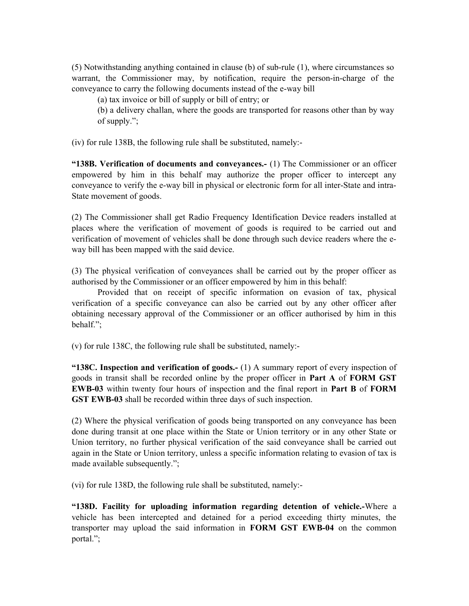(5) Notwithstanding anything contained in clause (b) of sub-rule (1), where circumstances so warrant, the Commissioner may, by notification, require the person-in-charge of the conveyance to carry the following documents instead of the e-way bill

(a) tax invoice or bill of supply or bill of entry; or

(b) a delivery challan, where the goods are transported for reasons other than by way of supply.";

(iv) for rule 138B, the following rule shall be substituted, namely:-

"138B. Verification of documents and conveyances.- (1) The Commissioner or an officer empowered by him in this behalf may authorize the proper officer to intercept any conveyance to verify the e-way bill in physical or electronic form for all inter-State and intra-State movement of goods.

(2) The Commissioner shall get Radio Frequency Identification Device readers installed at places where the verification of movement of goods is required to be carried out and verification of movement of vehicles shall be done through such device readers where the eway bill has been mapped with the said device.

(3) The physical verification of conveyances shall be carried out by the proper officer as authorised by the Commissioner or an officer empowered by him in this behalf:

Provided that on receipt of specific information on evasion of tax, physical verification of a specific conveyance can also be carried out by any other officer after obtaining necessary approval of the Commissioner or an officer authorised by him in this behalf.";

(v) for rule 138C, the following rule shall be substituted, namely:-

"138C. Inspection and verification of goods.-  $(1)$  A summary report of every inspection of goods in transit shall be recorded online by the proper officer in Part A of FORM GST EWB-03 within twenty four hours of inspection and the final report in Part B of FORM GST EWB-03 shall be recorded within three days of such inspection.

(2) Where the physical verification of goods being transported on any conveyance has been done during transit at one place within the State or Union territory or in any other State or Union territory, no further physical verification of the said conveyance shall be carried out again in the State or Union territory, unless a specific information relating to evasion of tax is made available subsequently.";

(vi) for rule 138D, the following rule shall be substituted, namely:-

"138D. Facility for uploading information regarding detention of vehicle.-Where a vehicle has been intercepted and detained for a period exceeding thirty minutes, the transporter may upload the said information in FORM GST EWB-04 on the common portal.";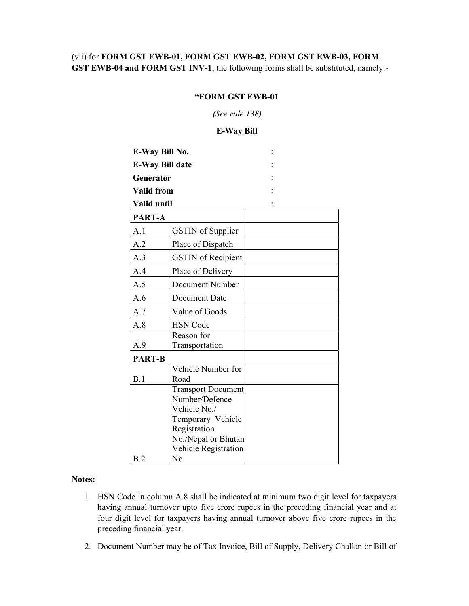## (vii) for FORM GST EWB-01, FORM GST EWB-02, FORM GST EWB-03, FORM GST EWB-04 and FORM GST INV-1, the following forms shall be substituted, namely:-

### "FORM GST EWB-01

(See rule 138)

E-Way Bill

| E-Way Bill No.         |                              |  |
|------------------------|------------------------------|--|
| <b>E-Way Bill date</b> |                              |  |
| <b>Generator</b>       |                              |  |
| <b>Valid from</b>      |                              |  |
| Valid until            |                              |  |
| PART-A                 |                              |  |
| A.1                    | <b>GSTIN</b> of Supplier     |  |
| A.2                    | Place of Dispatch            |  |
| A.3                    | <b>GSTIN</b> of Recipient    |  |
| A.4                    | Place of Delivery            |  |
| A.5                    | Document Number              |  |
| A.6                    | Document Date                |  |
| A.7                    | Value of Goods               |  |
| A.8                    | <b>HSN</b> Code              |  |
| A.9                    | Reason for<br>Transportation |  |
| <b>PART-B</b>          |                              |  |
|                        | Vehicle Number for           |  |
| B.1                    | Road                         |  |
|                        | <b>Transport Document</b>    |  |
|                        | Number/Defence               |  |
|                        | Vehicle No./                 |  |
|                        | Temporary Vehicle            |  |
|                        | Registration                 |  |
|                        | No./Nepal or Bhutan          |  |
|                        | Vehicle Registration         |  |
| B.2                    | No.                          |  |

#### Notes:

- 1. HSN Code in column A.8 shall be indicated at minimum two digit level for taxpayers having annual turnover upto five crore rupees in the preceding financial year and at four digit level for taxpayers having annual turnover above five crore rupees in the preceding financial year.
- 2. Document Number may be of Tax Invoice, Bill of Supply, Delivery Challan or Bill of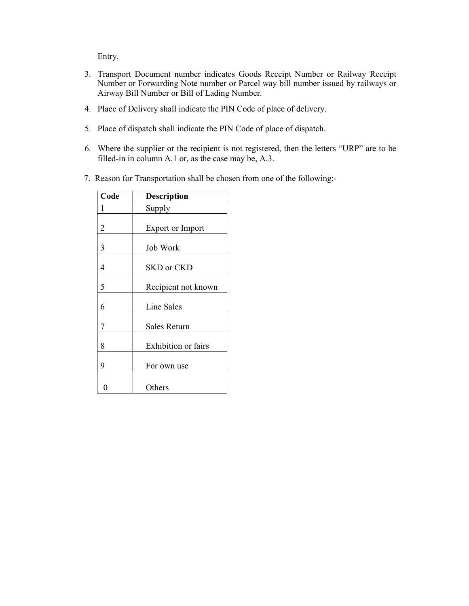Entry.

- 3. Transport Document number indicates Goods Receipt Number or Railway Receipt Number or Forwarding Note number or Parcel way bill number issued by railways or Airway Bill Number or Bill of Lading Number.
- 4. Place of Delivery shall indicate the PIN Code of place of delivery.
- 5. Place of dispatch shall indicate the PIN Code of place of dispatch.
- 6. Where the supplier or the recipient is not registered, then the letters "URP" are to be filled-in in column A.1 or, as the case may be, A.3.
- 7. Reason for Transportation shall be chosen from one of the following:-

| Code | Description                |
|------|----------------------------|
| 1    | Supply                     |
| 2    | <b>Export or Import</b>    |
| 3    | Job Work                   |
| 4    | SKD or CKD                 |
| 5    | Recipient not known        |
| 6    | Line Sales                 |
| 7    | Sales Return               |
| 8    | <b>Exhibition</b> or fairs |
| 9    | For own use                |
|      | Others                     |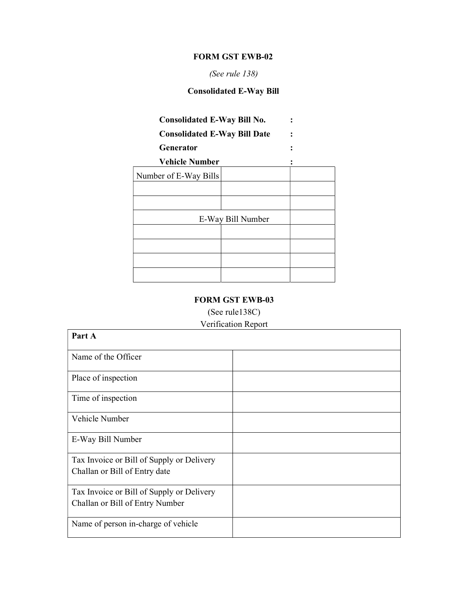### FORM GST EWB-02

## (See rule 138)

# Consolidated E-Way Bill

# Consolidated E-Way Bill No. :

Consolidated E-Way Bill Date :

# Generator :  $\qquad \qquad$ :

Vehicle Number :

| Number of E-Way Bills |                   |  |
|-----------------------|-------------------|--|
|                       |                   |  |
|                       |                   |  |
|                       | E-Way Bill Number |  |
|                       |                   |  |
|                       |                   |  |
|                       |                   |  |
|                       |                   |  |

## FORM GST EWB-03

(See rule138C)

# Verification Report

| Part A                                    |  |
|-------------------------------------------|--|
| Name of the Officer                       |  |
| Place of inspection                       |  |
| Time of inspection                        |  |
| Vehicle Number                            |  |
| E-Way Bill Number                         |  |
| Tax Invoice or Bill of Supply or Delivery |  |
| Challan or Bill of Entry date             |  |
| Tax Invoice or Bill of Supply or Delivery |  |
| Challan or Bill of Entry Number           |  |
| Name of person in-charge of vehicle       |  |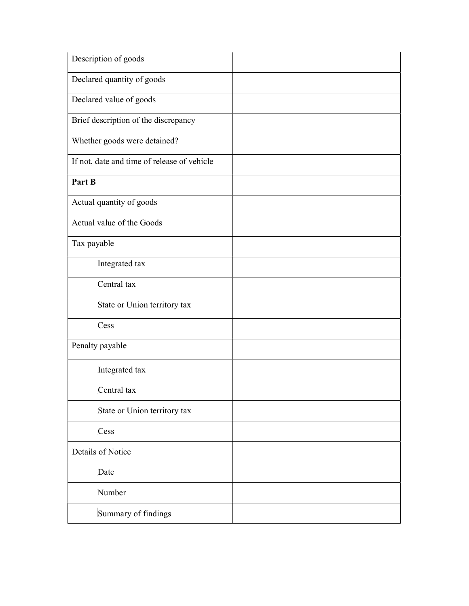| Description of goods                        |  |
|---------------------------------------------|--|
| Declared quantity of goods                  |  |
| Declared value of goods                     |  |
| Brief description of the discrepancy        |  |
| Whether goods were detained?                |  |
| If not, date and time of release of vehicle |  |
| Part B                                      |  |
| Actual quantity of goods                    |  |
| Actual value of the Goods                   |  |
| Tax payable                                 |  |
| Integrated tax                              |  |
| Central tax                                 |  |
| State or Union territory tax                |  |
| Cess                                        |  |
| Penalty payable                             |  |
| Integrated tax                              |  |
| Central tax                                 |  |
| State or Union territory tax                |  |
| Cess                                        |  |
| Details of Notice                           |  |
| Date                                        |  |
| Number                                      |  |
| Summary of findings                         |  |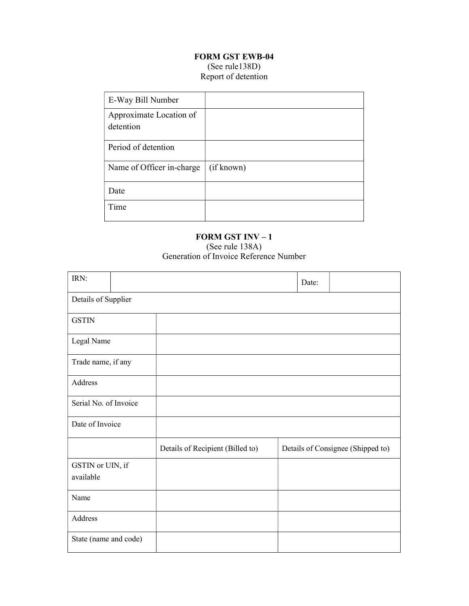## FORM GST EWB-04 (See rule138D) Report of detention

| E-Way Bill Number                    |            |
|--------------------------------------|------------|
| Approximate Location of<br>detention |            |
| Period of detention                  |            |
| Name of Officer in-charge            | (if known) |
| Date                                 |            |
| Time                                 |            |

### FORM GST INV – 1 (See rule 138A) Generation of Invoice Reference Number

| IRN:                  |                                  | Date: |                                   |
|-----------------------|----------------------------------|-------|-----------------------------------|
| Details of Supplier   |                                  |       |                                   |
| <b>GSTIN</b>          |                                  |       |                                   |
| Legal Name            |                                  |       |                                   |
| Trade name, if any    |                                  |       |                                   |
| Address               |                                  |       |                                   |
| Serial No. of Invoice |                                  |       |                                   |
| Date of Invoice       |                                  |       |                                   |
|                       | Details of Recipient (Billed to) |       | Details of Consignee (Shipped to) |
| GSTIN or UIN, if      |                                  |       |                                   |
| available             |                                  |       |                                   |
| Name                  |                                  |       |                                   |
| Address               |                                  |       |                                   |
| State (name and code) |                                  |       |                                   |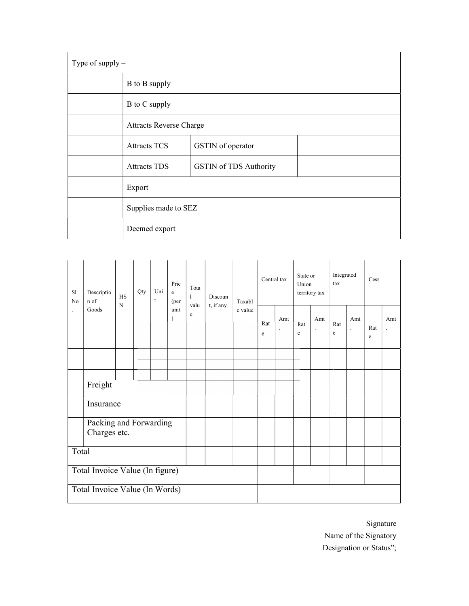| Type of supply $-$ |                                                      |                                |  |  |  |  |  |  |  |  |
|--------------------|------------------------------------------------------|--------------------------------|--|--|--|--|--|--|--|--|
|                    | B to B supply                                        |                                |  |  |  |  |  |  |  |  |
|                    | B to C supply                                        |                                |  |  |  |  |  |  |  |  |
|                    |                                                      | <b>Attracts Reverse Charge</b> |  |  |  |  |  |  |  |  |
|                    | <b>Attracts TCS</b>                                  | GSTIN of operator              |  |  |  |  |  |  |  |  |
|                    | <b>Attracts TDS</b><br><b>GSTIN</b> of TDS Authority |                                |  |  |  |  |  |  |  |  |
|                    | Export                                               |                                |  |  |  |  |  |  |  |  |
|                    | Supplies made to SEZ                                 |                                |  |  |  |  |  |  |  |  |
|                    | Deemed export                                        |                                |  |  |  |  |  |  |  |  |

| Sl.<br>No                       | Descriptio<br>n of                     | <b>HS</b><br>$\mathbf N$ | Qty<br>$\ddot{\phantom{0}}$ | Uni<br>t | Pric<br>e<br>(per)    | Tota<br>1<br>valu | Discoun<br>t, if any | Taxabl<br>e value | Central tax |               | State or<br>Union<br>territory tax |     | Integrated<br>tax |                | Cess     |                       |
|---------------------------------|----------------------------------------|--------------------------|-----------------------------|----------|-----------------------|-------------------|----------------------|-------------------|-------------|---------------|------------------------------------|-----|-------------------|----------------|----------|-----------------------|
| $\ddot{\phantom{a}}$            | Goods                                  |                          |                             |          | unit<br>$\mathcal{E}$ | e                 |                      |                   | Rat<br>e    | Amt           | Rat<br>e                           | Amt | Rat<br>e          | Amt<br>$\cdot$ | Rat<br>e | Amt<br>$\overline{a}$ |
|                                 |                                        |                          |                             |          |                       |                   |                      |                   |             |               |                                    |     |                   |                |          |                       |
|                                 |                                        |                          |                             |          |                       |                   |                      |                   |             |               |                                    |     |                   |                |          |                       |
|                                 |                                        |                          |                             |          |                       |                   |                      |                   |             |               |                                    |     |                   |                |          |                       |
|                                 | Freight                                |                          |                             |          |                       |                   |                      |                   |             |               |                                    |     |                   |                |          |                       |
| Insurance                       |                                        |                          |                             |          |                       |                   |                      |                   |             | $\sim$ $\sim$ |                                    |     |                   |                |          |                       |
|                                 | Packing and Forwarding<br>Charges etc. |                          |                             |          |                       |                   |                      |                   |             |               |                                    |     |                   |                |          |                       |
| Total                           |                                        |                          |                             |          |                       |                   |                      |                   |             |               |                                    |     |                   |                |          |                       |
| Total Invoice Value (In figure) |                                        |                          |                             |          |                       |                   |                      |                   |             |               |                                    |     |                   |                |          |                       |
| Total Invoice Value (In Words)  |                                        |                          |                             |          |                       |                   |                      |                   |             |               |                                    |     |                   |                |          |                       |

Signature Name of the Signatory Designation or Status";